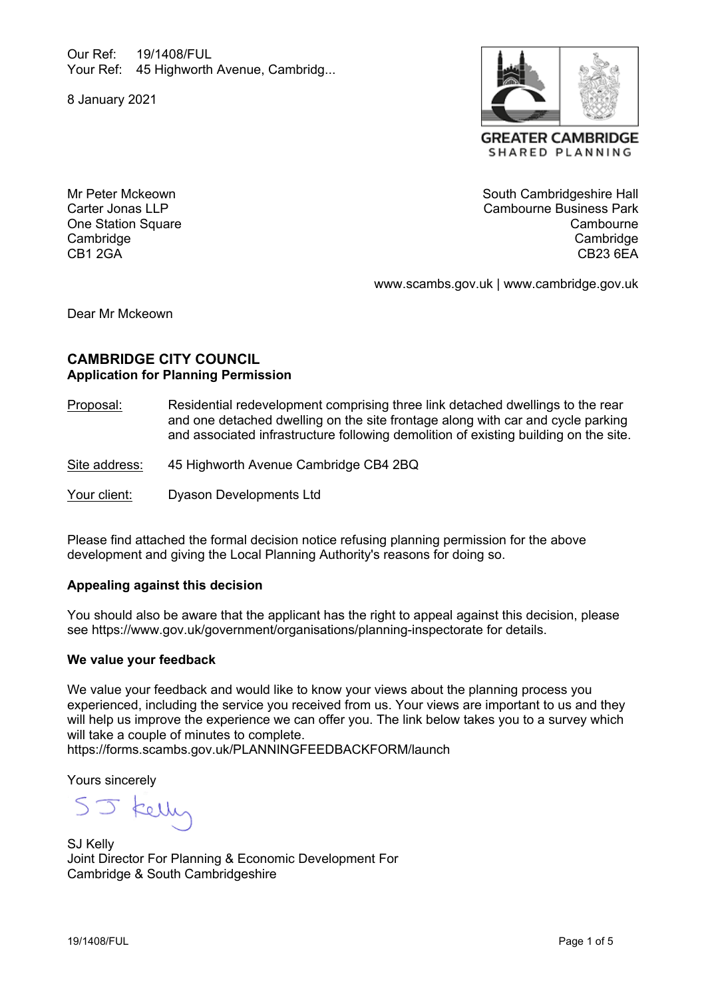Our Ref: 19/1408/FUL Your Ref: 45 Highworth Avenue, Cambridg...

8 January 2021



Mr Peter Mckeown Carter Jonas LLP One Station Square **Cambridge** CB1 2GA

South Cambridgeshire Hall Cambourne Business Park **Cambourne Cambridge** CB23 6EA

www.scambs.gov.uk | www.cambridge.gov.uk

Dear Mr Mckeown

# **CAMBRIDGE CITY COUNCIL Application for Planning Permission**

- Proposal: Residential redevelopment comprising three link detached dwellings to the rear and one detached dwelling on the site frontage along with car and cycle parking and associated infrastructure following demolition of existing building on the site.
- Site address: 45 Highworth Avenue Cambridge CB4 2BQ
- Your client: Dyason Developments Ltd

Please find attached the formal decision notice refusing planning permission for the above development and giving the Local Planning Authority's reasons for doing so.

#### **Appealing against this decision**

You should also be aware that the applicant has the right to appeal against this decision, please see <https://www.gov.uk/government/organisations/planning-inspectorate> for details.

#### **We value your feedback**

We value your feedback and would like to know your views about the planning process you experienced, including the service you received from us. Your views are important to us and they will help us improve the experience we can offer you. The link below takes you to a survey which will take a couple of minutes to complete.

<https://forms.scambs.gov.uk/PLANNINGFEEDBACKFORM/launch>

Yours sincerely

SJ Kell

SJ Kelly Joint Director For Planning & Economic Development For Cambridge & South Cambridgeshire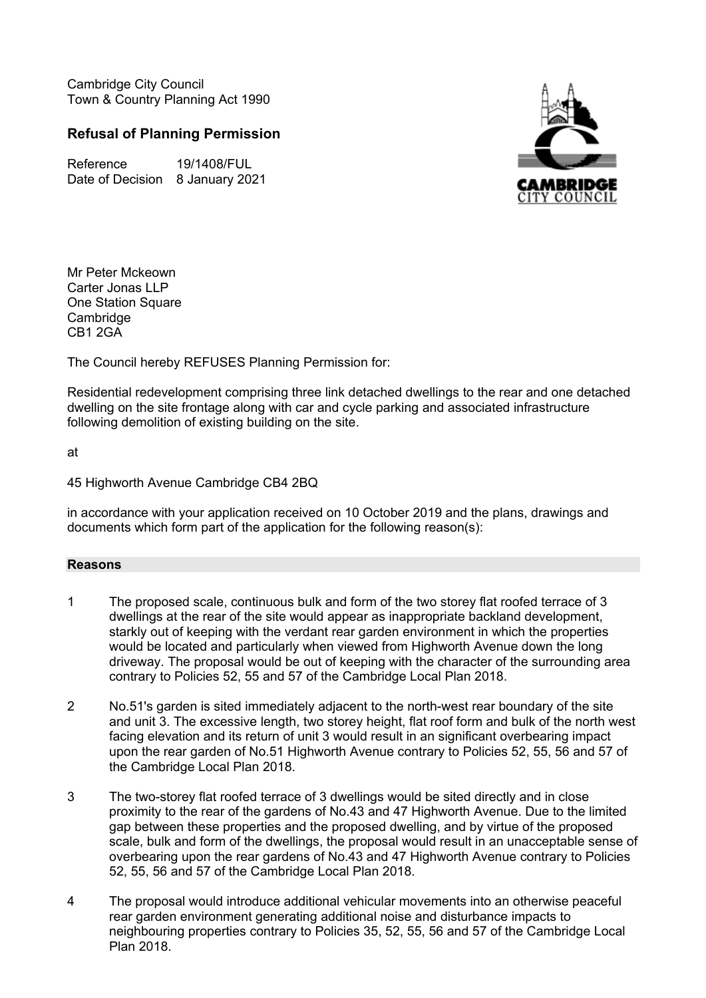Cambridge City Council Town & Country Planning Act 1990

# **Refusal of Planning Permission**

Reference 19/1408/FUL Date of Decision 8 January 2021



Mr Peter Mckeown Carter Jonas LLP One Station Square **Cambridge** CB1 2GA

The Council hereby REFUSES Planning Permission for:

Residential redevelopment comprising three link detached dwellings to the rear and one detached dwelling on the site frontage along with car and cycle parking and associated infrastructure following demolition of existing building on the site.

at

45 Highworth Avenue Cambridge CB4 2BQ

in accordance with your application received on 10 October 2019 and the plans, drawings and documents which form part of the application for the following reason(s):

### **Reasons**

- 1 The proposed scale, continuous bulk and form of the two storey flat roofed terrace of 3 dwellings at the rear of the site would appear as inappropriate backland development, starkly out of keeping with the verdant rear garden environment in which the properties would be located and particularly when viewed from Highworth Avenue down the long driveway. The proposal would be out of keeping with the character of the surrounding area contrary to Policies 52, 55 and 57 of the Cambridge Local Plan 2018.
- 2 No.51's garden is sited immediately adjacent to the north-west rear boundary of the site and unit 3. The excessive length, two storey height, flat roof form and bulk of the north west facing elevation and its return of unit 3 would result in an significant overbearing impact upon the rear garden of No.51 Highworth Avenue contrary to Policies 52, 55, 56 and 57 of the Cambridge Local Plan 2018.
- 3 The two-storey flat roofed terrace of 3 dwellings would be sited directly and in close proximity to the rear of the gardens of No.43 and 47 Highworth Avenue. Due to the limited gap between these properties and the proposed dwelling, and by virtue of the proposed scale, bulk and form of the dwellings, the proposal would result in an unacceptable sense of overbearing upon the rear gardens of No.43 and 47 Highworth Avenue contrary to Policies 52, 55, 56 and 57 of the Cambridge Local Plan 2018.
- 4 The proposal would introduce additional vehicular movements into an otherwise peaceful rear garden environment generating additional noise and disturbance impacts to neighbouring properties contrary to Policies 35, 52, 55, 56 and 57 of the Cambridge Local Plan 2018.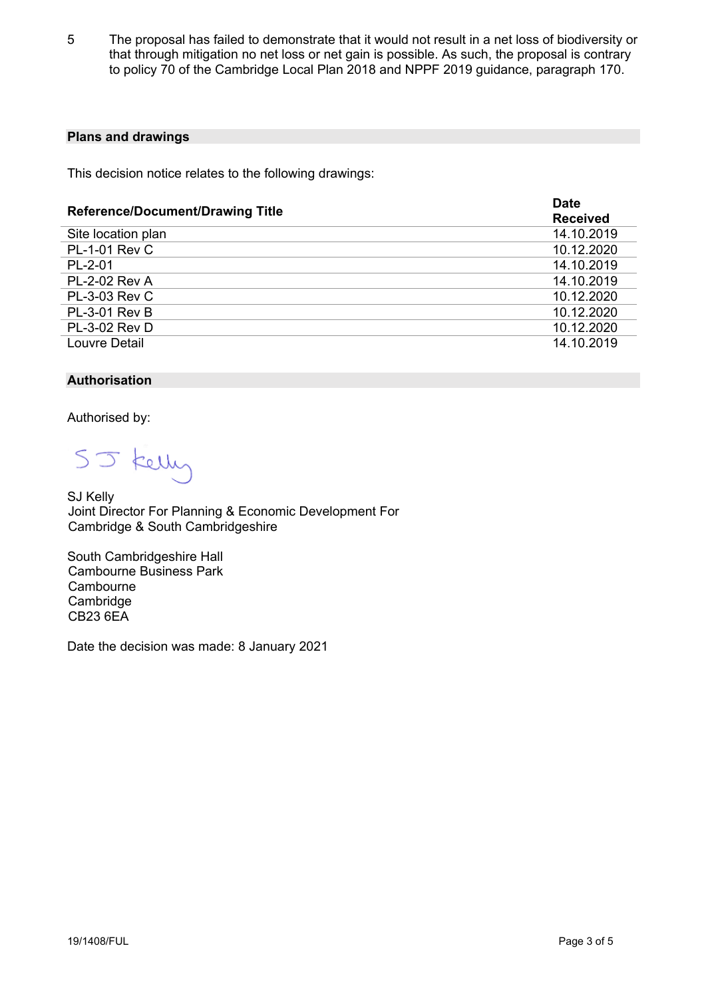5 The proposal has failed to demonstrate that it would not result in a net loss of biodiversity or that through mitigation no net loss or net gain is possible. As such, the proposal is contrary to policy 70 of the Cambridge Local Plan 2018 and NPPF 2019 guidance, paragraph 170.

#### **Plans and drawings**

This decision notice relates to the following drawings:

| <b>Reference/Document/Drawing Title</b> | <b>Date</b><br><b>Received</b> |
|-----------------------------------------|--------------------------------|
| Site location plan                      | 14.10.2019                     |
| <b>PL-1-01 Rev C</b>                    | 10.12.2020                     |
| $PL-2-01$                               | 14.10.2019                     |
| <b>PL-2-02 Rev A</b>                    | 14.10.2019                     |
| <b>PL-3-03 Rev C</b>                    | 10.12.2020                     |
| <b>PL-3-01 Rev B</b>                    | 10.12.2020                     |
| <b>PL-3-02 Rev D</b>                    | 10.12.2020                     |
| Louvre Detail                           | 14.10.2019                     |

# **Authorisation**

Authorised by:

SJ Kelly

SJ Kelly Joint Director For Planning & Economic Development For Cambridge & South Cambridgeshire

South Cambridgeshire Hall Cambourne Business Park **Cambourne Cambridge** CB23 6EA

Date the decision was made: 8 January 2021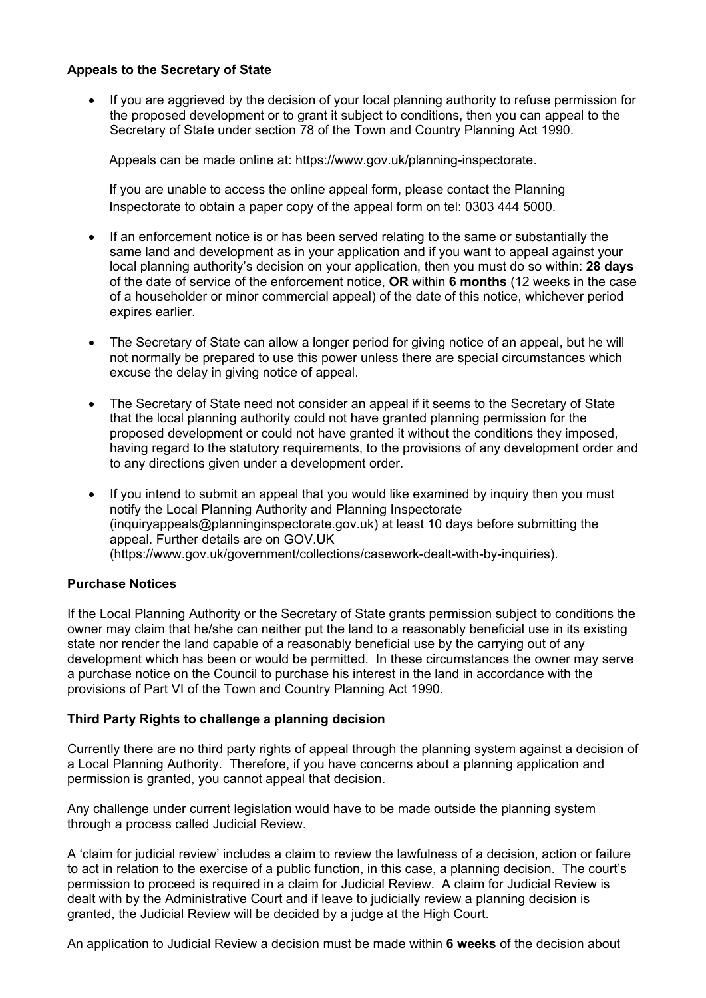# **Appeals to the Secretary of State**

 If you are aggrieved by the decision of your local planning authority to refuse permission for the proposed development or to grant it subject to conditions, then you can appeal to the Secretary of State under section 78 of the Town and Country Planning Act 1990.

Appeals can be made online at: [https://www.gov.uk/planning-inspectorate.](https://www.gov.uk/planning-inspectorate)

If you are unable to access the online appeal form, please contact the Planning Inspectorate to obtain a paper copy of the appeal form on tel: 0303 444 5000.

- If an enforcement notice is or has been served relating to the same or substantially the same land and development as in your application and if you want to appeal against your local planning authority's decision on your application, then you must do so within: **28 days** of the date of service of the enforcement notice, **OR** within **6 months** (12 weeks in the case of a householder or minor commercial appeal) of the date of this notice, whichever period expires earlier.
- The Secretary of State can allow a longer period for giving notice of an appeal, but he will not normally be prepared to use this power unless there are special circumstances which excuse the delay in giving notice of appeal.
- The Secretary of State need not consider an appeal if it seems to the Secretary of State that the local planning authority could not have granted planning permission for the proposed development or could not have granted it without the conditions they imposed, having regard to the statutory requirements, to the provisions of any development order and to any directions given under a development order.
- If you intend to submit an appeal that you would like examined by inquiry then you must notify the Local Planning Authority and Planning Inspectorate (inquiryappeals@planninginspectorate.gov.uk) at least 10 days before submitting the appeal. Further details are on GOV.UK [\(https://www.gov.uk/government/collections/casework-dealt-with-by-inquiries](https://www.gov.uk/government/collections/casework-dealt-with-by-inquiries)).

# **Purchase Notices**

If the Local Planning Authority or the Secretary of State grants permission subject to conditions the owner may claim that he/she can neither put the land to a reasonably beneficial use in its existing state nor render the land capable of a reasonably beneficial use by the carrying out of any development which has been or would be permitted. In these circumstances the owner may serve a purchase notice on the Council to purchase his interest in the land in accordance with the provisions of Part VI of the Town and Country Planning Act 1990.

# **Third Party Rights to challenge a planning decision**

Currently there are no third party rights of appeal through the planning system against a decision of a Local Planning Authority. Therefore, if you have concerns about a planning application and permission is granted, you cannot appeal that decision.

Any challenge under current legislation would have to be made outside the planning system through a process called Judicial Review.

A 'claim for judicial review' includes a claim to review the lawfulness of a decision, action or failure to act in relation to the exercise of a public function, in this case, a planning decision. The court's permission to proceed is required in a claim for Judicial Review. A claim for Judicial Review is dealt with by the Administrative Court and if leave to judicially review a planning decision is granted, the Judicial Review will be decided by a judge at the High Court.

An application to Judicial Review a decision must be made within **6 weeks** of the decision about